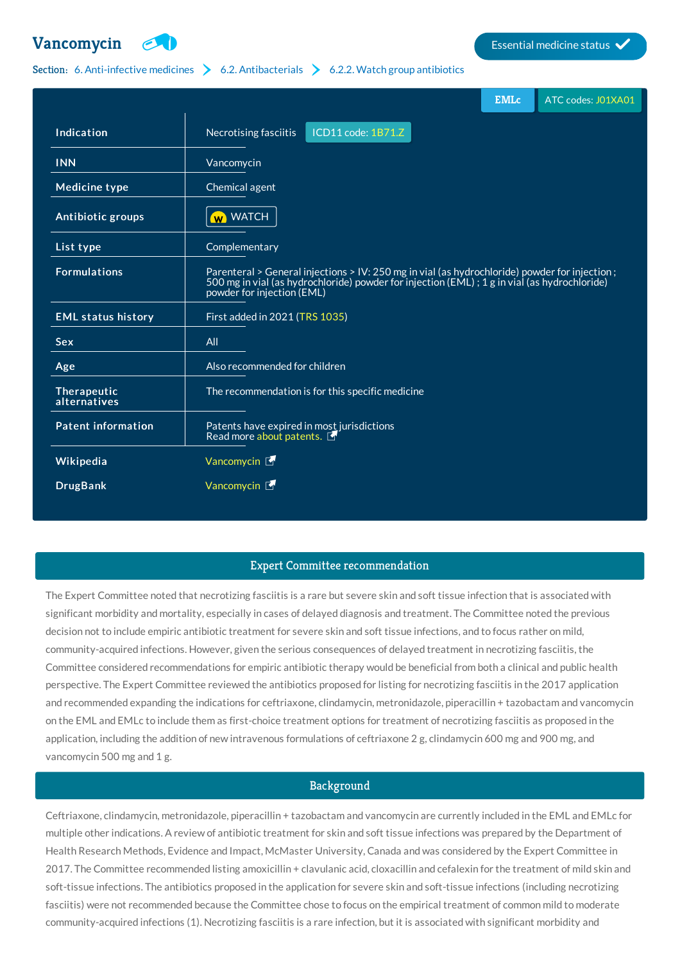

# Section: 6. [Anti-infective](http://list.essentialmeds.org/?section=332) medicines  $\geq 6.2$ . [Antibacterials](http://list.essentialmeds.org/?section=337)  $\geq 6.2.2$ . Watch group [antibiotics](http://list.essentialmeds.org/?section=339)

|                             |                                                                                                                                                                                                                             | <b>EMLc</b> | ATC codes: J01XA01 |
|-----------------------------|-----------------------------------------------------------------------------------------------------------------------------------------------------------------------------------------------------------------------------|-------------|--------------------|
| Indication                  | ICD11 code: 1B71.Z<br>Necrotising fasciitis                                                                                                                                                                                 |             |                    |
| <b>INN</b>                  | Vancomycin                                                                                                                                                                                                                  |             |                    |
| <b>Medicine type</b>        | Chemical agent                                                                                                                                                                                                              |             |                    |
| Antibiotic groups           | <b>W</b> WATCH                                                                                                                                                                                                              |             |                    |
| List type                   | Complementary                                                                                                                                                                                                               |             |                    |
| <b>Formulations</b>         | Parenteral > General injections > IV: 250 mg in vial (as hydrochloride) powder for injection;<br>500 mg in vial (as hydrochloride) powder for injection (EML); 1 g in vial (as hydrochloride)<br>powder for injection (EML) |             |                    |
| <b>EML status history</b>   | First added in 2021 (TRS 1035)                                                                                                                                                                                              |             |                    |
| Sex                         | All                                                                                                                                                                                                                         |             |                    |
| Age                         | Also recommended for children                                                                                                                                                                                               |             |                    |
| Therapeutic<br>alternatives | The recommendation is for this specific medicine                                                                                                                                                                            |             |                    |
| Patent information          | Patents have expired in most jurisdictions<br>Read more about patents.                                                                                                                                                      |             |                    |
| Wikipedia                   | Vancomycin L                                                                                                                                                                                                                |             |                    |
| <b>DrugBank</b>             | Vancomycin L                                                                                                                                                                                                                |             |                    |

# Expert Committee recommendation

The Expert Committee noted that necrotizing fasciitis is a rare but severe skin and soft tissue infection that is associated with significant morbidity and mortality, especially in cases of delayed diagnosis and treatment. The Committee noted the previous decision not to include empiric antibiotic treatment for severe skin and soft tissue infections, and to focus rather on mild, community-acquired infections. However, given the serious consequences of delayed treatment in necrotizing fasciitis, the Committee considered recommendations for empiric antibiotic therapy would be beneficial from both a clinical and public health perspective. The Expert Committee reviewed the antibiotics proposed for listing for necrotizing fasciitis in the 2017 application and recommended expanding the indications for ceftriaxone, clindamycin, metronidazole, piperacillin + tazobactam and vancomycin on the EML and EMLc to include them as first-choice treatment options for treatment of necrotizing fasciitis as proposed in the application, including the addition of new intravenous formulations of ceftriaxone 2 g, clindamycin 600 mg and 900 mg, and vancomycin 500 mg and 1 g.

# **Background**

Ceftriaxone, clindamycin, metronidazole, piperacillin + tazobactam and vancomycin are currently included in the EML and EMLc for multiple other indications. A review of antibiotic treatment for skin and soft tissue infections was prepared by the Department of Health Research Methods, Evidence and Impact, McMaster University, Canada and was considered by the Expert Committee in 2017. The Committee recommended listing amoxicillin + clavulanic acid, cloxacillin and cefalexin for the treatment of mild skin and soft-tissue infections. The antibiotics proposed in the application for severe skin and soft-tissue infections (including necrotizing fasciitis) were not recommended because the Committee chose to focus on the empirical treatment of common mild to moderate community-acquired infections (1). Necrotizing fasciitis is a rare infection, but it is associated with significant morbidity and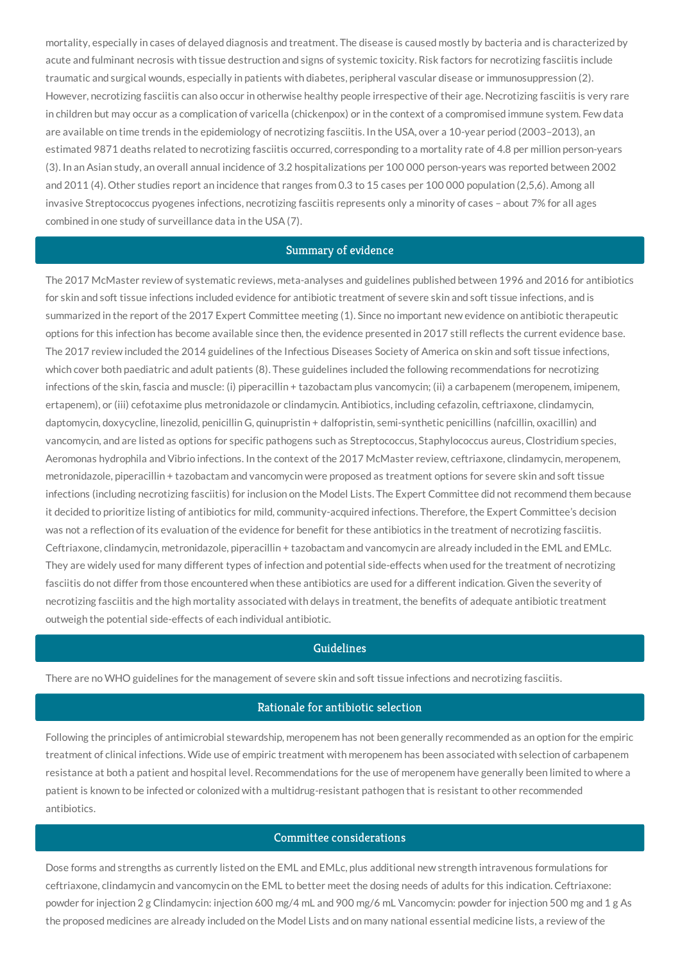mortality, especially in cases of delayed diagnosis and treatment. The disease is caused mostly by bacteria and is characterized by acute and fulminant necrosis with tissue destruction and signs of systemic toxicity. Risk factors for necrotizing fasciitis include traumatic and surgical wounds, especially in patients with diabetes, peripheral vascular disease or immunosuppression (2). However, necrotizing fasciitis can also occur in otherwise healthy people irrespective of their age. Necrotizing fasciitis is very rare in children but may occur as a complication of varicella (chickenpox) or in the context of a compromised immune system. Few data are available on time trends in the epidemiology of necrotizing fasciitis. In the USA, over a 10-year period (2003–2013), an estimated 9871 deaths related to necrotizing fasciitis occurred, corresponding to a mortality rate of 4.8 per million person-years (3). In an Asian study, an overall annual incidence of 3.2 hospitalizations per 100 000 person-years was reported between 2002 and 2011 (4). Other studies report an incidence that ranges from 0.3 to 15 cases per 100 000 population (2,5,6). Among all invasive Streptococcus pyogenes infections, necrotizing fasciitis represents only a minority of cases – about 7% for all ages combined in one study of surveillance data in the USA (7).

#### Summary of evidence

The 2017 McMaster review of systematic reviews, meta-analyses and guidelines published between 1996 and 2016 for antibiotics for skin and soft tissue infections included evidence for antibiotic treatment of severe skin and soft tissue infections, and is summarized in the report of the 2017 Expert Committee meeting (1). Since no important new evidence on antibiotic therapeutic options for this infection has become available since then, the evidence presented in 2017 still reflects the current evidence base. The 2017 review included the 2014 guidelines of the Infectious Diseases Society of America on skin and soft tissue infections, which cover both paediatric and adult patients (8). These guidelines included the following recommendations for necrotizing infections of the skin, fascia and muscle: (i) piperacillin + tazobactam plus vancomycin; (ii) a carbapenem (meropenem, imipenem, ertapenem), or (iii) cefotaxime plus metronidazole or clindamycin. Antibiotics, including cefazolin, ceftriaxone, clindamycin, daptomycin, doxycycline, linezolid, penicillin G, quinupristin + dalfopristin, semi-synthetic penicillins (nafcillin, oxacillin) and vancomycin, and are listed as options for specific pathogens such as Streptococcus, Staphylococcus aureus, Clostridium species, Aeromonas hydrophila and Vibrio infections. In the context of the 2017 McMaster review, ceftriaxone, clindamycin, meropenem, metronidazole, piperacillin + tazobactam and vancomycin were proposed as treatment options for severe skin and soft tissue infections (including necrotizing fasciitis) for inclusion on the Model Lists. The Expert Committee did not recommend them because it decided to prioritize listing of antibiotics for mild, community-acquired infections. Therefore, the Expert Committee's decision was not a reflection of its evaluation of the evidence for benefit for these antibiotics in the treatment of necrotizing fasciitis. Ceftriaxone, clindamycin, metronidazole, piperacillin + tazobactam and vancomycin are already included in the EML and EMLc. They are widely used for many different types of infection and potential side-effects when used for the treatment of necrotizing fasciitis do not differ from those encountered when these antibiotics are used for a different indication. Given the severity of necrotizing fasciitis and the high mortality associated with delays in treatment, the benefits of adequate antibiotic treatment outweigh the potential side-effects of each individual antibiotic.

## Guidelines

There are no WHO guidelines for the management of severe skin and soft tissue infections and necrotizing fasciitis.

### Rationale for antibiotic selection

Following the principles of antimicrobial stewardship, meropenem has not been generally recommended as an option for the empiric treatment of clinical infections. Wide use of empiric treatment with meropenem has been associated with selection of carbapenem resistance at both a patient and hospital level. Recommendations for the use of meropenem have generally been limited to where a patient is known to be infected or colonized with a multidrug-resistant pathogen that is resistant to other recommended antibiotics.

### Committee considerations

Dose forms and strengths as currently listed on the EML and EMLc, plus additional new strength intravenous formulations for ceftriaxone, clindamycin and vancomycin on the EML to better meet the dosing needs of adults for this indication. Ceftriaxone: powder for injection 2 g Clindamycin: injection 600 mg/4 mL and 900 mg/6 mL Vancomycin: powder for injection 500 mg and 1 g As the proposed medicines are already included on the Model Lists and on many national essential medicine lists, a review of the